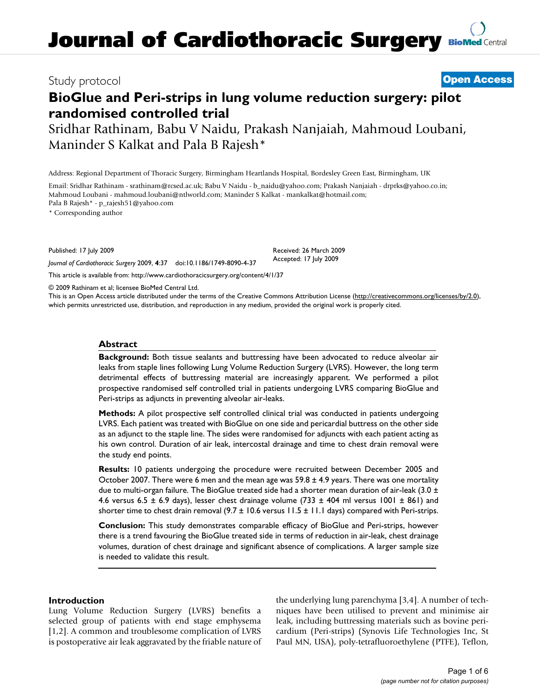# **Journal of Cardiothoracic Surgery [BioMed](http://www.biomedcentral.com/) Central**

### Study protocol **[Open Access](http://www.biomedcentral.com/info/about/charter/)**

## **BioGlue and Peri-strips in lung volume reduction surgery: pilot randomised controlled trial**

Sridhar Rathinam, Babu V Naidu, Prakash Nanjaiah, Mahmoud Loubani, Maninder S Kalkat and Pala B Rajesh\*

Address: Regional Department of Thoracic Surgery, Birmingham Heartlands Hospital, Bordesley Green East, Birmingham, UK

Email: Sridhar Rathinam - srathinam@rcsed.ac.uk; Babu V Naidu - b\_naidu@yahoo.com; Prakash Nanjaiah - drprks@yahoo.co.in; Mahmoud Loubani - mahmoud.loubani@ntlworld.com; Maninder S Kalkat - mankalkat@hotmail.com;

Pala B Rajesh\* - p\_rajesh51@yahoo.com

\* Corresponding author

Published: 17 July 2009

*Journal of Cardiothoracic Surgery* 2009, **4**:37 doi:10.1186/1749-8090-4-37

[This article is available from: http://www.cardiothoracicsurgery.org/content/4/1/37](http://www.cardiothoracicsurgery.org/content/4/1/37)

© 2009 Rathinam et al; licensee BioMed Central Ltd.

This is an Open Access article distributed under the terms of the Creative Commons Attribution License [\(http://creativecommons.org/licenses/by/2.0\)](http://creativecommons.org/licenses/by/2.0), which permits unrestricted use, distribution, and reproduction in any medium, provided the original work is properly cited.

Received: 26 March 2009 Accepted: 17 July 2009

#### **Abstract**

**Background:** Both tissue sealants and buttressing have been advocated to reduce alveolar air leaks from staple lines following Lung Volume Reduction Surgery (LVRS). However, the long term detrimental effects of buttressing material are increasingly apparent. We performed a pilot prospective randomised self controlled trial in patients undergoing LVRS comparing BioGlue and Peri-strips as adjuncts in preventing alveolar air-leaks.

**Methods:** A pilot prospective self controlled clinical trial was conducted in patients undergoing LVRS. Each patient was treated with BioGlue on one side and pericardial buttress on the other side as an adjunct to the staple line. The sides were randomised for adjuncts with each patient acting as his own control. Duration of air leak, intercostal drainage and time to chest drain removal were the study end points.

**Results:** 10 patients undergoing the procedure were recruited between December 2005 and October 2007. There were 6 men and the mean age was 59.8 ± 4.9 years. There was one mortality due to multi-organ failure. The BioGlue treated side had a shorter mean duration of air-leak (3.0  $\pm$ 4.6 versus 6.5  $\pm$  6.9 days), lesser chest drainage volume (733  $\pm$  404 ml versus 1001  $\pm$  861) and shorter time to chest drain removal (9.7 ± 10.6 versus 11.5 ± 11.1 days) compared with Peri-strips.

**Conclusion:** This study demonstrates comparable efficacy of BioGlue and Peri-strips, however there is a trend favouring the BioGlue treated side in terms of reduction in air-leak, chest drainage volumes, duration of chest drainage and significant absence of complications. A larger sample size is needed to validate this result.

#### **Introduction**

Lung Volume Reduction Surgery (LVRS) benefits a selected group of patients with end stage emphysema [1,2]. A common and troublesome complication of LVRS is postoperative air leak aggravated by the friable nature of the underlying lung parenchyma [3,4]. A number of techniques have been utilised to prevent and minimise air leak, including buttressing materials such as bovine pericardium (Peri-strips) (Synovis Life Technologies Inc, St Paul MN, USA), poly-tetrafluoroethylene (PTFE), Teflon,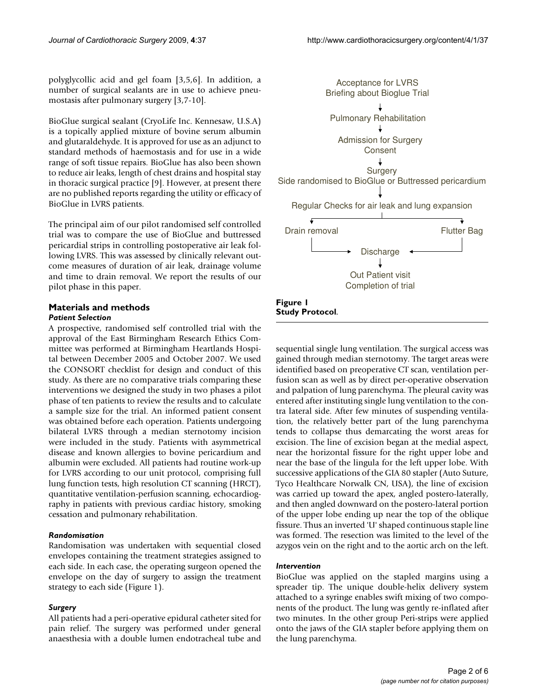polyglycollic acid and gel foam [3,5,6]. In addition, a number of surgical sealants are in use to achieve pneumostasis after pulmonary surgery [3,7-10].

BioGlue surgical sealant (CryoLife Inc. Kennesaw, U.S.A) is a topically applied mixture of bovine serum albumin and glutaraldehyde. It is approved for use as an adjunct to standard methods of haemostasis and for use in a wide range of soft tissue repairs. BioGlue has also been shown to reduce air leaks, length of chest drains and hospital stay in thoracic surgical practice [9]. However, at present there are no published reports regarding the utility or efficacy of BioGlue in LVRS patients.

The principal aim of our pilot randomised self controlled trial was to compare the use of BioGlue and buttressed pericardial strips in controlling postoperative air leak following LVRS. This was assessed by clinically relevant outcome measures of duration of air leak, drainage volume and time to drain removal. We report the results of our pilot phase in this paper.

#### **Materials and methods** *Patient Selection*

A prospective, randomised self controlled trial with the approval of the East Birmingham Research Ethics Committee was performed at Birmingham Heartlands Hospital between December 2005 and October 2007. We used the CONSORT checklist for design and conduct of this study. As there are no comparative trials comparing these interventions we designed the study in two phases a pilot phase of ten patients to review the results and to calculate a sample size for the trial. An informed patient consent was obtained before each operation. Patients undergoing bilateral LVRS through a median sternotomy incision were included in the study. Patients with asymmetrical disease and known allergies to bovine pericardium and albumin were excluded. All patients had routine work-up for LVRS according to our unit protocol, comprising full lung function tests, high resolution CT scanning (HRCT), quantitative ventilation-perfusion scanning, echocardiography in patients with previous cardiac history, smoking cessation and pulmonary rehabilitation.

#### *Randomisation*

Randomisation was undertaken with sequential closed envelopes containing the treatment strategies assigned to each side. In each case, the operating surgeon opened the envelope on the day of surgery to assign the treatment strategy to each side (Figure 1).

#### *Surgery*

All patients had a peri-operative epidural catheter sited for pain relief. The surgery was performed under general anaesthesia with a double lumen endotracheal tube and



sequential single lung ventilation. The surgical access was gained through median sternotomy. The target areas were identified based on preoperative CT scan, ventilation perfusion scan as well as by direct per-operative observation and palpation of lung parenchyma. The pleural cavity was entered after instituting single lung ventilation to the contra lateral side. After few minutes of suspending ventilation, the relatively better part of the lung parenchyma tends to collapse thus demarcating the worst areas for excision. The line of excision began at the medial aspect, near the horizontal fissure for the right upper lobe and near the base of the lingula for the left upper lobe. With successive applications of the GIA 80 stapler (Auto Suture, Tyco Healthcare Norwalk CN, USA), the line of excision was carried up toward the apex, angled postero-laterally, and then angled downward on the postero-lateral portion of the upper lobe ending up near the top of the oblique fissure. Thus an inverted 'U' shaped continuous staple line was formed. The resection was limited to the level of the azygos vein on the right and to the aortic arch on the left.

#### *Intervention*

BioGlue was applied on the stapled margins using a spreader tip. The unique double-helix delivery system attached to a syringe enables swift mixing of two components of the product. The lung was gently re-inflated after two minutes. In the other group Peri-strips were applied onto the jaws of the GIA stapler before applying them on the lung parenchyma.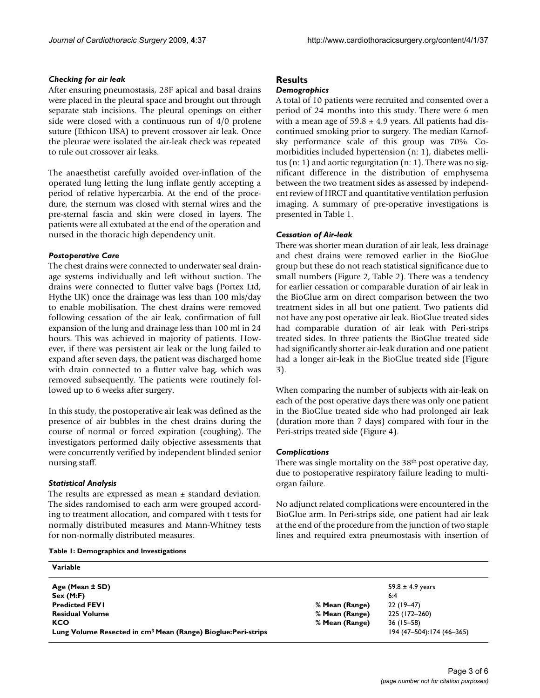#### *Checking for air leak*

After ensuring pneumostasis, 28F apical and basal drains were placed in the pleural space and brought out through separate stab incisions. The pleural openings on either side were closed with a continuous run of 4/0 prolene suture (Ethicon USA) to prevent crossover air leak. Once the pleurae were isolated the air-leak check was repeated to rule out crossover air leaks.

The anaesthetist carefully avoided over-inflation of the operated lung letting the lung inflate gently accepting a period of relative hypercarbia. At the end of the procedure, the sternum was closed with sternal wires and the pre-sternal fascia and skin were closed in layers. The patients were all extubated at the end of the operation and nursed in the thoracic high dependency unit.

#### *Postoperative Care*

The chest drains were connected to underwater seal drainage systems individually and left without suction. The drains were connected to flutter valve bags (Portex Ltd, Hythe UK) once the drainage was less than 100 mls/day to enable mobilisation. The chest drains were removed following cessation of the air leak, confirmation of full expansion of the lung and drainage less than 100 ml in 24 hours. This was achieved in majority of patients. However, if there was persistent air leak or the lung failed to expand after seven days, the patient was discharged home with drain connected to a flutter valve bag, which was removed subsequently. The patients were routinely followed up to 6 weeks after surgery.

In this study, the postoperative air leak was defined as the presence of air bubbles in the chest drains during the course of normal or forced expiration (coughing). The investigators performed daily objective assessments that were concurrently verified by independent blinded senior nursing staff.

#### *Statistical Analysis*

The results are expressed as mean  $\pm$  standard deviation. The sides randomised to each arm were grouped according to treatment allocation, and compared with t tests for normally distributed measures and Mann-Whitney tests for non-normally distributed measures.

|  |  | Table 1: Demographics and Investigations |  |  |
|--|--|------------------------------------------|--|--|
|--|--|------------------------------------------|--|--|

#### **Results**

#### *Demographics*

A total of 10 patients were recruited and consented over a period of 24 months into this study. There were 6 men with a mean age of  $59.8 \pm 4.9$  years. All patients had discontinued smoking prior to surgery. The median Karnofsky performance scale of this group was 70%. Comorbidities included hypertension (n: 1), diabetes mellitus (n: 1) and aortic regurgitation (n: 1). There was no significant difference in the distribution of emphysema between the two treatment sides as assessed by independent review of HRCT and quantitative ventilation perfusion imaging. A summary of pre-operative investigations is presented in Table 1.

#### *Cessation of Air-leak*

There was shorter mean duration of air leak, less drainage and chest drains were removed earlier in the BioGlue group but these do not reach statistical significance due to small numbers (Figure 2, Table 2). There was a tendency for earlier cessation or comparable duration of air leak in the BioGlue arm on direct comparison between the two treatment sides in all but one patient. Two patients did not have any post operative air leak. BioGlue treated sides had comparable duration of air leak with Peri-strips treated sides. In three patients the BioGlue treated side had significantly shorter air-leak duration and one patient had a longer air-leak in the BioGlue treated side (Figure 3).

When comparing the number of subjects with air-leak on each of the post operative days there was only one patient in the BioGlue treated side who had prolonged air leak (duration more than 7 days) compared with four in the Peri-strips treated side (Figure 4).

#### *Complications*

There was single mortality on the 38<sup>th</sup> post operative day, due to postoperative respiratory failure leading to multiorgan failure.

No adjunct related complications were encountered in the BioGlue arm. In Peri-strips side, one patient had air leak at the end of the procedure from the junction of two staple lines and required extra pneumostasis with insertion of

| Variable                                                                  |                |                            |
|---------------------------------------------------------------------------|----------------|----------------------------|
| Age (Mean $±$ SD)                                                         |                | 59.8 $\pm$ 4.9 years       |
| Sex(M:F)                                                                  |                | 6:4                        |
| <b>Predicted FEVI</b>                                                     | % Mean (Range) | $22(19-47)$                |
| <b>Residual Volume</b>                                                    | % Mean (Range) | 225 (172-260)              |
| KCO                                                                       | % Mean (Range) | $36(15 - 58)$              |
| Lung Volume Resected in cm <sup>3</sup> Mean (Range) Bioglue: Peri-strips |                | 194 (47-504): 174 (46-365) |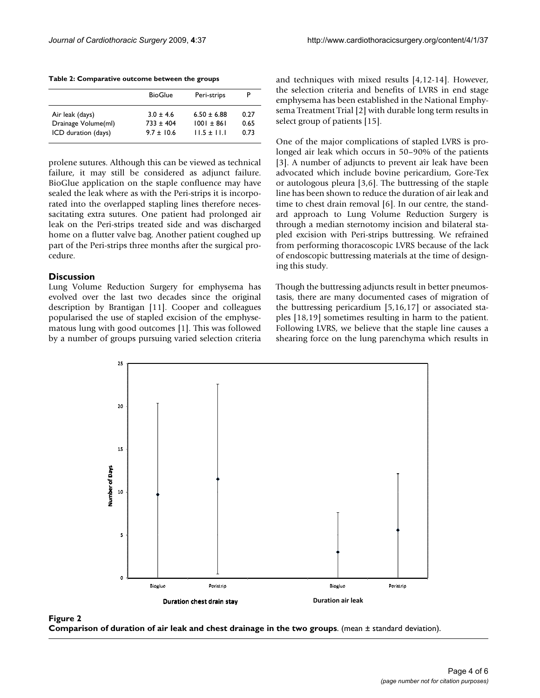|  | Table 2: Comparative outcome between the groups |  |  |  |
|--|-------------------------------------------------|--|--|--|
|--|-------------------------------------------------|--|--|--|

|                     | <b>BioGlue</b> | Peri-strips     | P    |
|---------------------|----------------|-----------------|------|
| Air leak (days)     | $3.0 \pm 4.6$  | $6.50 \pm 6.88$ | 0.27 |
| Drainage Volume(ml) | $733 \pm 404$  | $1001 + 861$    | 0.65 |
| ICD duration (days) | $9.7 + 10.6$   | $11.5 + 11.1$   | 0.73 |

prolene sutures. Although this can be viewed as technical failure, it may still be considered as adjunct failure. BioGlue application on the staple confluence may have sealed the leak where as with the Peri-strips it is incorporated into the overlapped stapling lines therefore necessacitating extra sutures. One patient had prolonged air leak on the Peri-strips treated side and was discharged home on a flutter valve bag. Another patient coughed up part of the Peri-strips three months after the surgical procedure.

#### **Discussion**

Lung Volume Reduction Surgery for emphysema has evolved over the last two decades since the original description by Brantigan [11]. Cooper and colleagues popularised the use of stapled excision of the emphysematous lung with good outcomes [1]. This was followed by a number of groups pursuing varied selection criteria and techniques with mixed results [4,12-14]. However, the selection criteria and benefits of LVRS in end stage emphysema has been established in the National Emphysema Treatment Trial [2] with durable long term results in select group of patients [15].

One of the major complications of stapled LVRS is prolonged air leak which occurs in 50–90% of the patients [3]. A number of adjuncts to prevent air leak have been advocated which include bovine pericardium, Gore-Tex or autologous pleura [3,6]. The buttressing of the staple line has been shown to reduce the duration of air leak and time to chest drain removal [6]. In our centre, the standard approach to Lung Volume Reduction Surgery is through a median sternotomy incision and bilateral stapled excision with Peri-strips buttressing. We refrained from performing thoracoscopic LVRS because of the lack of endoscopic buttressing materials at the time of designing this study.

Though the buttressing adjuncts result in better pneumostasis, there are many documented cases of migration of the buttressing pericardium [5,16,17] or associated staples [18,19] sometimes resulting in harm to the patient. Following LVRS, we believe that the staple line causes a shearing force on the lung parenchyma which results in



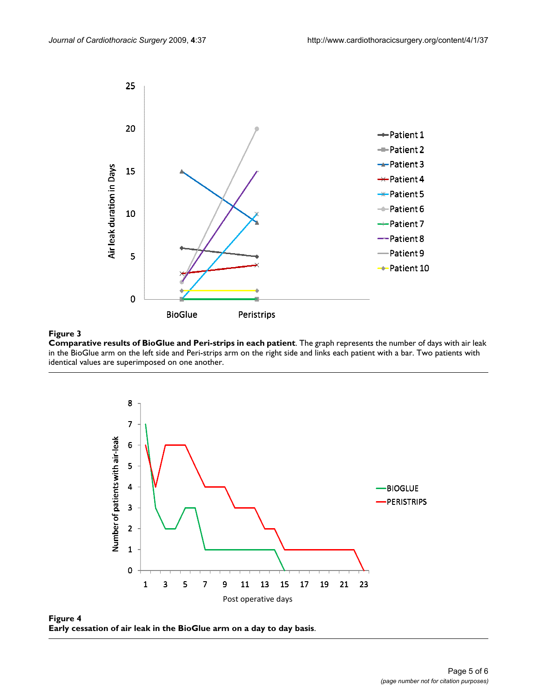

#### Figure 3

**Comparative results of BioGlue and Peri-strips in each patient**. The graph represents the number of days with air leak in the BioGlue arm on the left side and Peri-strips arm on the right side and links each patient with a bar. Two patients with identical values are superimposed on one another.